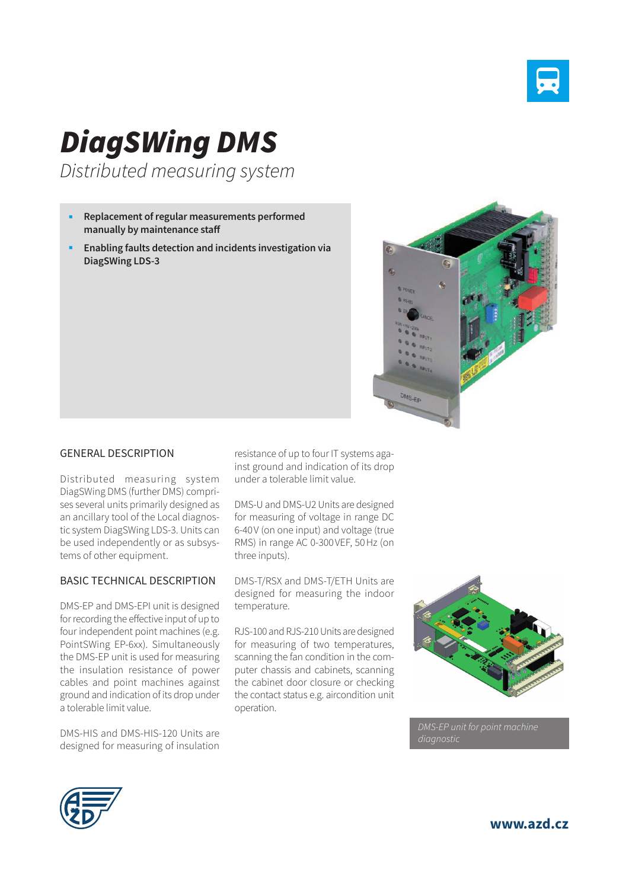

# *DiagSWing DMS*

*Distributed measuring system* 

- **Replacement of regular measurements performed manually by maintenance staff**
- **Enabling faults detection and incidents investigation via DiagSWing LDS-3**



#### GENERAL DESCRIPTION

Distributed measuring system DiagSWing DMS (further DMS) comprises several units primarily designed as an ancillary tool of the Local diagnostic system DiagSWing LDS-3. Units can be used independently or as subsystems of other equipment.

#### BASIC TECHNICAL DESCRIPTION

DMS-EP and DMS-EPI unit is designed for recording the effective input of up to four independent point machines (e.g. PointSWing EP-6xx). Simultaneously the DMS-EP unit is used for measuring the insulation resistance of power cables and point machines against ground and indication of its drop under a tolerable limit value.

DMS-HIS and DMS-HIS-120 Units are designed for measuring of insulation resistance of up to four IT systems against ground and indication of its drop under a tolerable limit value.

DMS-U and DMS-U2 Units are designed for measuring of voltage in range DC 6-40V (on one input) and voltage (true RMS) in range AC 0-300VEF, 50Hz (on three inputs).

DMS-T/RSX and DMS-T/ETH Units are designed for measuring the indoor temperature.

RJS-100 and RJS-210 Units are designed for measuring of two temperatures, scanning the fan condition in the computer chassis and cabinets, scanning the cabinet door closure or checking the contact status e.g. aircondition unit operation.



*DMS-EP unit for point machine* 



**www.azd.cz**